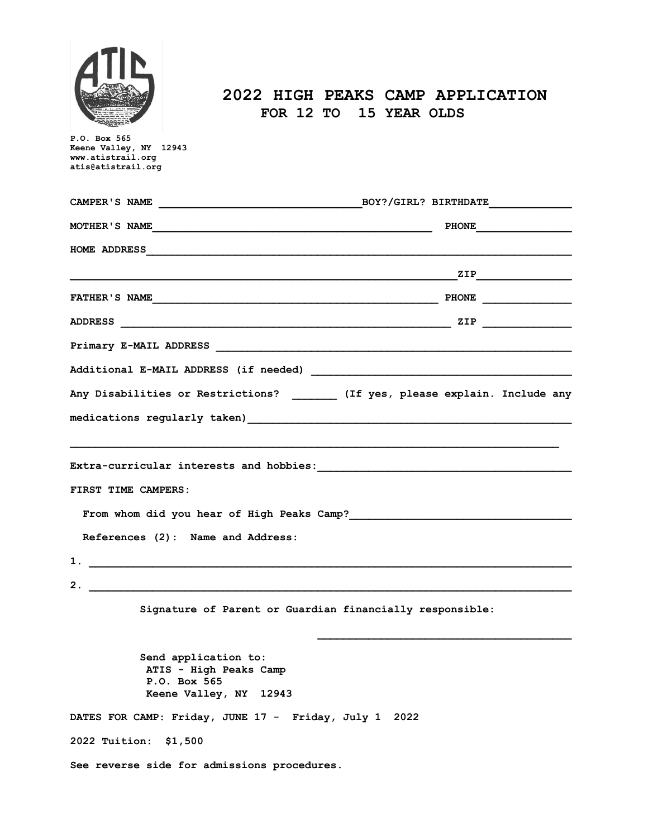

## **2022 HIGH PEAKS CAMP APPLICATION FOR 12 TO 15 YEAR OLDS**

| P.O. Box 565<br>Keene Valley, NY 12943<br>www.atistrail.org                              |             |
|------------------------------------------------------------------------------------------|-------------|
| atis@atistrail.org                                                                       |             |
|                                                                                          |             |
| MOTHER'S NAME                                                                            | PHONE PHONE |
|                                                                                          |             |
|                                                                                          |             |
|                                                                                          |             |
|                                                                                          |             |
|                                                                                          |             |
|                                                                                          |             |
| Any Disabilities or Restrictions? ________ (If yes, please explain. Include any          |             |
|                                                                                          |             |
|                                                                                          |             |
|                                                                                          |             |
| FIRST TIME CAMPERS:                                                                      |             |
| From whom did you hear of High Peaks Camp?                                               |             |
| References (2): Name and Address:                                                        |             |
| 1.                                                                                       |             |
| 2.                                                                                       |             |
| Signature of Parent or Guardian financially responsible:                                 |             |
| Send application to:<br>ATIS - High Peaks Camp<br>P.O. Box 565<br>Keene Valley, NY 12943 |             |
| DATES FOR CAMP: Friday, JUNE 17 - Friday, July 1                                         | 2022        |
| 2022 Tuition: \$1,500                                                                    |             |
| See reverse side for admissions procedures.                                              |             |